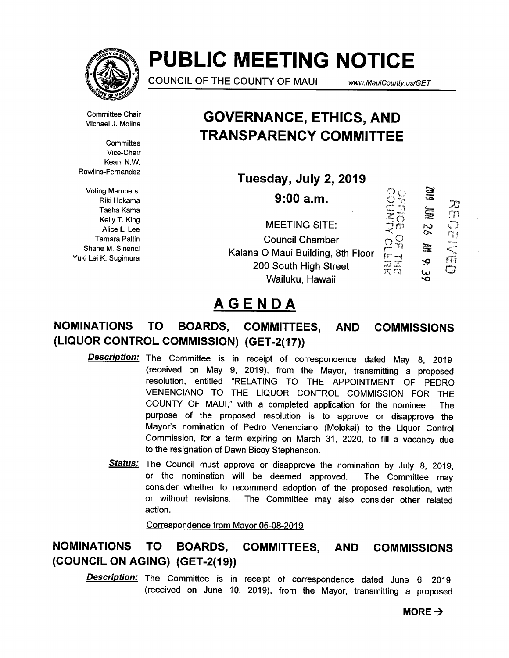

# PUBLIC MEETING NOTICE

COUNCIL OF THE COUNTY OF MAUI www.MauiCounty.us/GET

70 m

Committee Chair Michael J. Molina

**Committee** Vice-Chair Keani N.W. Rawlins-Fernandez

Voting Members: Riki Hokama Tasha Kama Kelly T. King Alice L. Lee Tamara Paltin Shane M. Sinenci Yuki Lei K. Sugimura

## GOVERNANCE, ETHICS, AND TRANSPARENCY COMMITTEE

Tuesday, July 2, 2019

**SIB** 9:00 a.m. **E**  $\frac{2}{\sqrt{m}}$ Diddentically MEETING SITE:  $\overline{\mathcal{S}}$ Uuncil Chamber<br>Kalana O Maui Building, 8th Floor<br>200 South High Street Council Chamber 量 '0 200 South High Street Ŵ u<br>O Wailuku, Hawaii

# AGENDA

#### NOMINATIONS TO BOARDS, COMMITTEES, AND (LIQUOR CONTROL COMMISSION) (GET-2(17)) COMMISSIONS

- **Description:** The Committee is in receipt of correspondence dated May 8, 2019 (received on May 9, 2019), from the Mayor, transmitting a proposed resolution, entitled "RELATING TO THE APPOINTMENT OF PEDRO VENENCIANO TO THE LIQUOR CONTROL COMMISSION FOR THE COUNTY OF MAUI," with a completed application for the nominee. The purpose of the proposed resolution is to approve or disapprove the Mayor's nomination of Pedro Venenciano (Molokai) to the Liquor Control Commission, for a term expiring on March 31, 2020, to fill a vacancy due to the resignation of Dawn Bicoy Stephenson.
	- Status: The Council must approve or disapprove the nomination by July 8, 2019, or the nomination will be deemed approved. The Committee may consider whether to recommend adoption of the proposed resolution, with or without revisions. The Committee may also consider other related action.

Correspondence from Mayor 05-08-2019

### NOMINATIONS TO BOARDS, COMMITTEES, AND COMMISSIONS (COUNCIL ON AGING) (GET-2(19))

**Description:** The Committee is in receipt of correspondence dated June 6, 2019 (received on June 10, 2019), from the Mayor, transmitting a proposed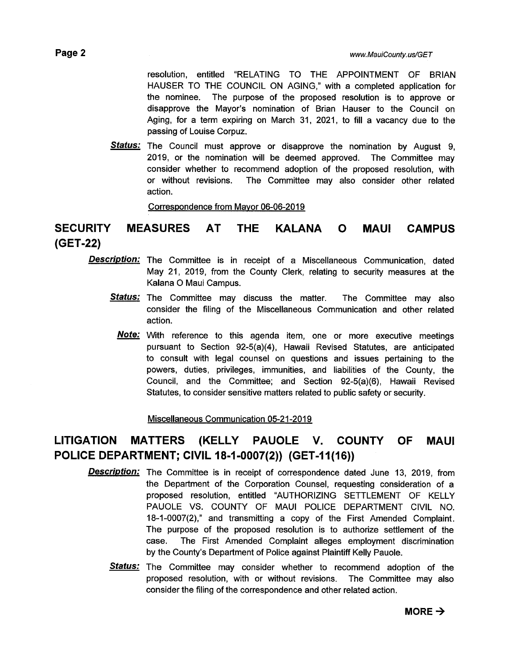resolution, entitled "RELATING TO THE APPOINTMENT OF BRIAN HAUSER TO THE COUNCIL ON AGING," with a completed application for the nominee. The purpose of the proposed resolution is to approve or disapprove the Mayor's nomination of Brian Hauser to the Council on Aging, for a term expiring on March 31, 2021, to fill a vacancy due to the passing of Louise Corpuz.

Status: The Council must approve or disapprove the nomination by August 9, 2019, or the nomination will be deemed approved. The Committee may consider whether to recommend adoption of the proposed resolution, with or without revisions. The Committee may also consider other related action.

Correspondence from Mayor 06-06-2019

### SECURITY MEASURES AT THE KALANA 0 MAUI CAMPUS (GET-22)

- **Description:** The Committee is in receipt of a Miscellaneous Communication, dated May 21, 2019, from the County Clerk, relating to security measures at the Kalana 0 Maui Campus.
	- Status: The Committee may discuss the matter. The Committee may also consider the filing of the Miscellaneous Communication and other related action.
		- Note: With reference to this agenda item, one or more executive meetings pursuant to Section 92-5(a)(4), Hawaii Revised Statutes, are anticipated to consult with legal counsel on questions and issues pertaining to the powers, duties, privileges, immunities, and liabilities of the County, the Council, and the Committee; and Section 92-5(a)(6), Hawaii Revised Statutes, to consider sensitive matters related to public safety or security.

Miscellaneous Communication 05-21-2019

### LITIGATION MATTERS (KELLY PAUOLE V. COUNTY OF MAUI POLICE DEPARTMENT; CIVIL 18-1-0007(2)) (GET-11(16))

- **Description:** The Committee is in receipt of correspondence dated June 13, 2019, from the Department of the Corporation Counsel, requesting consideration of a proposed resolution, entitled "AUTHORIZING SETTLEMENT OF KELLY PAUOLE VS. COUNTY OF MAUI POLICE DEPARTMENT CIVIL NO. 18-1-0007(2)," and transmitting a copy of the First Amended Complaint. The purpose of the proposed resolution is to authorize settlement of the case. The First Amended Complaint alleges employment discrimination by the County's Department of Police against Plaintiff Kelly Pauole.
	- **Status:** The Committee may consider whether to recommend adoption of the proposed resolution, with or without revisions. The Committee may also consider the filing of the correspondence and other related action.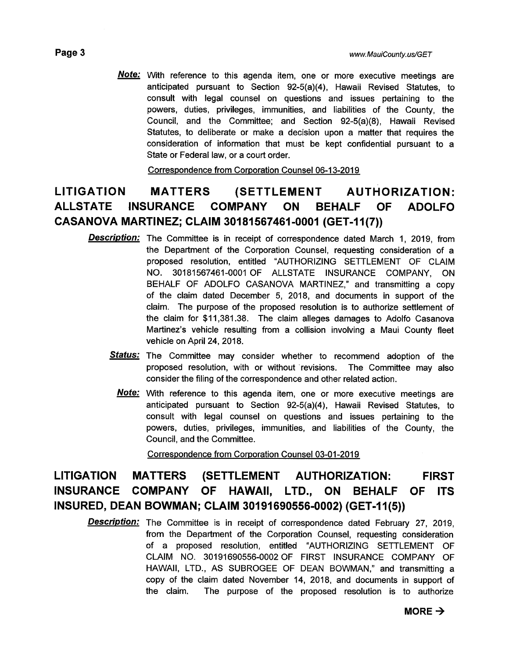**Note:** With reference to this agenda item, one or more executive meetings are anticipated pursuant to Section 92-5(a)(4), Hawaii Revised Statutes, to consult with legal counsel on questions and issues pertaining to the powers, duties, privileges, immunities, and liabilities of the County, the Council, and the Committee; and Section 92-5(a)(8), Hawaii Revised Statutes, to deliberate or make a decision upon a matter that requires the consideration of information that must be kept confidential pursuant to a State or Federal law, or a court order.

Correspondence from Corporation Counsel 06-13-2019

### LITIGATION MATTERS (SETTLEMENT AUTHORIZATION: ALLSTATE INSURANCE COMPANY ON BEHALF OF ADOLFO CASANOVA MARTINEZ; CLAIM 30181567461-0001 (GET-11(7))

- **Description:** The Committee is in receipt of correspondence dated March 1, 2019, from the Department of the Corporation Counsel, requesting consideration of a proposed resolution, entitled "AUTHORIZING SETTLEMENT OF CLAIM NO. 30181567461-0001 OF ALLSTATE INSURANCE COMPANY, ON BEHALF OF ADOLFO CASANOVA MARTINEZ," and transmitting a copy of the claim dated December 5, 2018, and documents in support of the claim. The purpose of the proposed resolution is to authorize settlement of the claim for \$11,381.38. The claim alleges damages to Adolfo Casanova Martinez's vehicle resulting from a collision involving a Maui County fleet vehicle on April 24, 2018.
	- Status: The Committee may consider whether to recommend adoption of the proposed resolution, with or without revisions. The Committee may also consider the filing of the correspondence and other related action.
		- **Note:** With reference to this agenda item, one or more executive meetings are anticipated pursuant to Section 92-5(a)(4), Hawaii Revised Statutes, to consult with legal counsel on questions and issues pertaining to the powers, duties, privileges, immunities, and liabilities of the County, the Council, and the Committee.

Correspondence from Corporation Counsel 03-01-2019

### LITIGATION MATTERS (SETTLEMENT AUTHORIZATION: FIRST INSURANCE COMPANY OF HAWAII, LTD., ON BEHALF OF ITS INSURED, DEAN BOWMAN; CLAIM 301 91 690556-0002) (GET-11(5))

**Description:** The Committee is in receipt of correspondence dated February 27, 2019, from the Department of the Corporation Counsel, requesting consideration of a proposed resolution, entitled "AUTHORIZING SETTLEMENT OF CLAIM NO. 30191690556-0002 OF FIRST INSURANCE COMPANY OF HAWAII, LTD., AS SUBROGEE OF DEAN BOWMAN," and transmitting a copy of the claim dated November 14, 2018, and documents in support of the claim. The purpose of the proposed resolution is to authorize